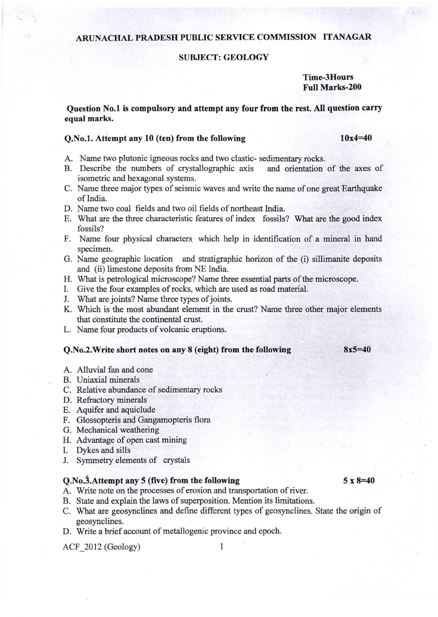# ARUNACHAL PRADESII PUBLIC SERVICE COMMISSION ITANAGAR

#### SUBJECT: GEOLOGY

## Time-3Houns Full Marks-200

Question No.1 is compulsory and attempt any four from the rest. All question carry equal marks.

## Q.No.1. Attempt any 10 (ten) from the following

10x4=40

- 
- A. Name two plutonic igneous rocks and two clastic- sedimentary rocks.<br>B. Describe the numbers of crystallographic axis and orientation of the axes of B. Describe the numbers of crystallographic axis isometric and hexagonal systems.
- C. Name three major types of seismic waves and write the name of one great Earthquake of India-
- D. Name two coal fields and two oil fields of northeast India.
- E. What are the three characteristic features of index fossils? What are the good index fossils?
- F. Name four physical characters which help in identification of a mineral in hand specimen.
- G. Name geographic location and stratigraphic horizon of the (i) sillimanite deposits and (ii) limestone deposits from NE India.
- H. What is petrological microscope? Name three essential parts of the microscope.
- I. Give the four examples of rocks, which are used as road material.
- J. What are joints? Name three types of joints.
- K. Which is the most abundant element in the crust? Name three other major elements that constitute the continental crust.
- L. Name four products of volcanic eruptions.

#### Q.No.2.Write short notes on any 8 (eight) from the following 8x5=40

- A. Alluvial fan and cone
- B. Uniaxial minerals
- C. Relative abundance of sedimentary rocks
- D. Refractory minerals
- E. Aquifer and aquiclude
- F. Glossopteris and Gangamopteris flora
- G. Mechanical weathering
- H. Advantage of open cast mining
- L Dykes and sills
- I. Symmety elements of crystals

## $Q.No.3.$ Attempt any 5 (five) from the following  $5 \times 8=40$

- A. Write note on the processes of erosion and transportation of river.
- B. State and explain the laws of superposition. Mention its limitations.
- C. What are geosynclines and define different types of geosynclines. State the origin of geosynclines.
- D. Write a brief account of metallogenic province and epoch.

ACF 2012 (Geology) 1